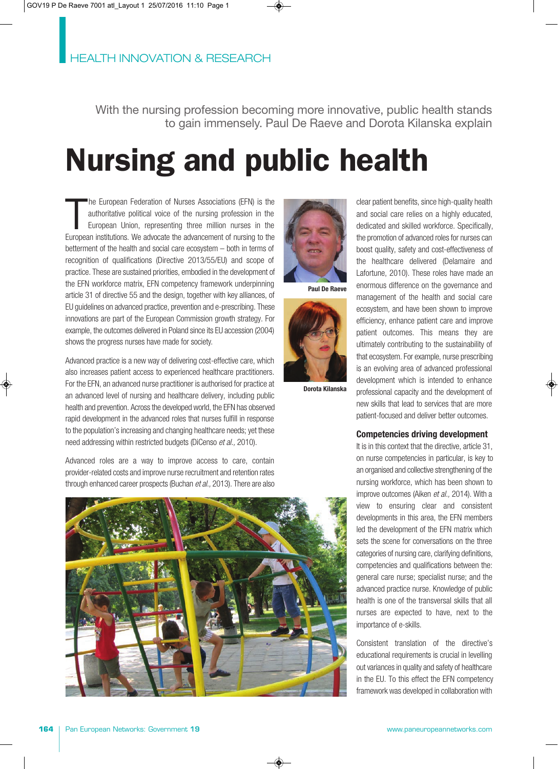With the nursing profession becoming more innovative, public health stands to gain immensely. Paul De Raeve and Dorota Kilanska explain

# **Nursing and public health**

T he European Federation of Nurses Associations (EFN) is the authoritative political voice of the nursing profession in the European Union, representing three million nurses in the European institutions. We advocate the advancement of nursing to the betterment of the health and social care ecosystem – both in terms of recognition of qualifications (Directive 2013/55/EU) and scope of practice. These are sustained priorities, embodied in the development of the EFN workforce matrix, EFN competency framework underpinning article 31 of directive 55 and the design, together with key alliances, of EU guidelines on advanced practice, prevention and e-prescribing. These innovations are part of the European Commission growth strategy. For example, the outcomes delivered in Poland since its EU accession (2004) shows the progress nurses have made for society.

Advanced practice is a new way of delivering cost-effective care, which also increases patient access to experienced healthcare practitioners. For the EFN, an advanced nurse practitioner is authorised for practice at an advanced level of nursing and healthcare delivery, including public health and prevention. Across the developed world, the EFN has observed rapid development in the advanced roles that nurses fulfill in response to the population's increasing and changing healthcare needs; yet these need addressing within restricted budgets (DiCenso et al., 2010).

Advanced roles are a way to improve access to care, contain provider-related costs and improve nurse recruitment and retention rates through enhanced career prospects (Buchan et al., 2013). There are also





**Paul De Raeve**



**Dorota Kilanska**

clear patient benefits, since high-quality health and social care relies on a highly educated, dedicated and skilled workforce. Specifically, the promotion of advanced roles for nurses can boost quality, safety and cost-effectiveness of the healthcare delivered (Delamaire and Lafortune, 2010). These roles have made an enormous difference on the governance and management of the health and social care ecosystem, and have been shown to improve efficiency, enhance patient care and improve patient outcomes. This means they are ultimately contributing to the sustainability of that ecosystem. For example, nurse prescribing is an evolving area of advanced professional development which is intended to enhance professional capacity and the development of new skills that lead to services that are more patient-focused and deliver better outcomes.

## **Competencies driving development**

It is in this context that the directive, article 31, on nurse competencies in particular, is key to an organised and collective strengthening of the nursing workforce, which has been shown to improve outcomes (Aiken et al., 2014). With a view to ensuring clear and consistent developments in this area, the EFN members led the development of the EFN matrix which sets the scene for conversations on the three categories of nursing care, clarifying definitions, competencies and qualifications between the: general care nurse; specialist nurse; and the advanced practice nurse. Knowledge of public health is one of the transversal skills that all nurses are expected to have, next to the importance of e-skills.

Consistent translation of the directive's educational requirements is crucial in levelling out variances in quality and safety of healthcare in the EU. To this effect the EFN competency framework was developed in collaboration with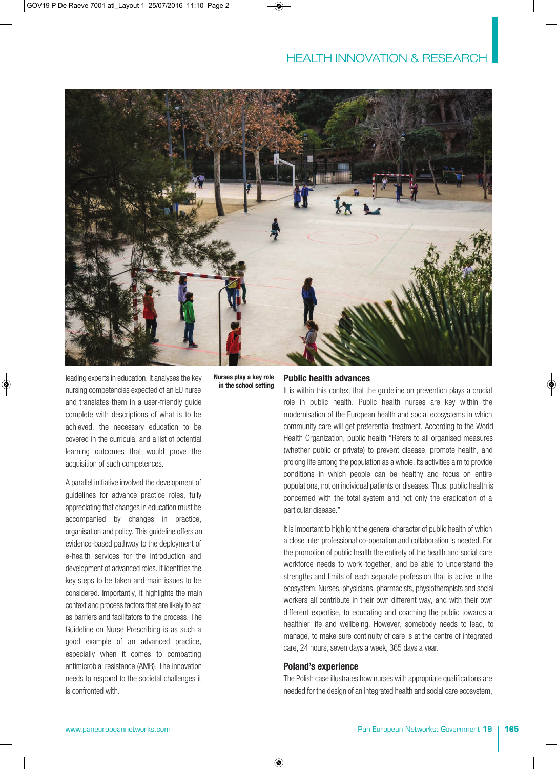

leading experts in education. It analyses the key nursing competencies expected of an EU nurse and translates them in a user-friendly guide complete with descriptions of what is to be achieved, the necessary education to be covered in the curricula, and a list of potential learning outcomes that would prove the acquisition of such competences.

A parallel initiative involved the development of guidelines for advance practice roles, fully appreciating that changes in education must be accompanied by changes in practice, organisation and policy. This guideline offers an evidence-based pathway to the deployment of e-health services for the introduction and development of advanced roles. It identifies the key steps to be taken and main issues to be considered. Importantly, it highlights the main context and process factors that are likely to act as barriers and facilitators to the process. The Guideline on Nurse Prescribing is as such a good example of an advanced practice, especially when it comes to combatting antimicrobial resistance (AMR). The innovation needs to respond to the societal challenges it is confronted with.

**Nurses play a key role in the school setting** 

## **Public health advances**

It is within this context that the guideline on prevention plays a crucial role in public health. Public health nurses are key within the modernisation of the European health and social ecosystems in which community care will get preferential treatment. According to the World Health Organization, public health "Refers to all organised measures (whether public or private) to prevent disease, promote health, and prolong life among the population as a whole. Its activities aim to provide conditions in which people can be healthy and focus on entire populations, not on individual patients or diseases. Thus, public health is concerned with the total system and not only the eradication of a particular disease."

It is important to highlight the general character of public health of which a close inter professional co-operation and collaboration is needed. For the promotion of public health the entirety of the health and social care workforce needs to work together, and be able to understand the strengths and limits of each separate profession that is active in the ecosystem. Nurses, physicians, pharmacists, physiotherapists and social workers all contribute in their own different way, and with their own different expertise, to educating and coaching the public towards a healthier life and wellbeing. However, somebody needs to lead, to manage, to make sure continuity of care is at the centre of integrated care, 24 hours, seven days a week, 365 days a year.

## **Poland's experience**

The Polish case illustrates how nurses with appropriate qualifications are needed for the design of an integrated health and social care ecosystem,